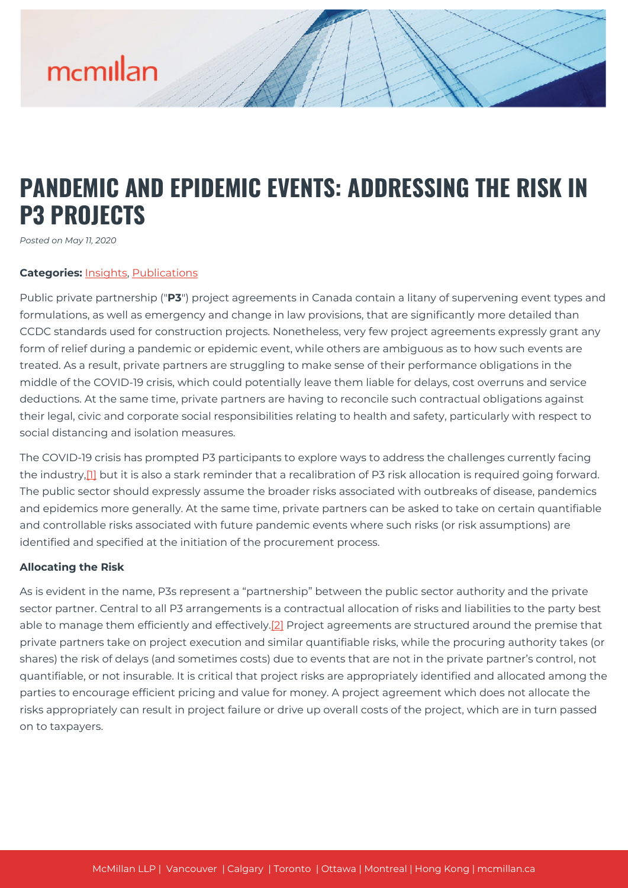# mcmillan

### **PANDEMIC AND EPIDEMIC EVENTS: ADDRESSING THE RISK IN P3 PROJECTS**

*Posted on May 11, 2020*

#### **Categories:** [Insights,](https://mcmillan.ca/insights/) [Publications](https://mcmillan.ca/insights/publications/)

Public private partnership ("**P3**") project agreements in Canada contain a litany of supervening event types and formulations, as well as emergency and change in law provisions, that are significantly more detailed than CCDC standards used for construction projects. Nonetheless, very few project agreements expressly grant any form of relief during a pandemic or epidemic event, while others are ambiguous as to how such events are treated. As a result, private partners are struggling to make sense of their performance obligations in the middle of the COVID-19 crisis, which could potentially leave them liable for delays, cost overruns and service deductions. At the same time, private partners are having to reconcile such contractual obligations against their legal, civic and corporate social responsibilities relating to health and safety, particularly with respect to social distancing and isolation measures.

The COVID-19 crisis has prompted P3 participants to explore ways to address the challenges currently facing the industry,<sup>[1]</sup> but it is also a stark reminder that a recalibration of P3 risk allocation is required going forward. The public sector should expressly assume the broader risks associated with outbreaks of disease, pandemics and epidemics more generally. At the same time, private partners can be asked to take on certain quantifiable and controllable risks associated with future pandemic events where such risks (or risk assumptions) are identified and specified at the initiation of the procurement process.

#### **Allocating the Risk**

As is evident in the name, P3s represent a "partnership" between the public sector authority and the private sector partner. Central to all P3 arrangements is a contractual allocation of risks and liabilities to the party best able to manage them efficiently and effectively.<sup>[\[2\]](#page--1-0)</sup> Project agreements are structured around the premise that private partners take on project execution and similar quantifiable risks, while the procuring authority takes (or shares) the risk of delays (and sometimes costs) due to events that are not in the private partner's control, not quantifiable, or not insurable. It is critical that project risks are appropriately identified and allocated among the parties to encourage efficient pricing and value for money. A project agreement which does not allocate the risks appropriately can result in project failure or drive up overall costs of the project, which are in turn passed on to taxpayers.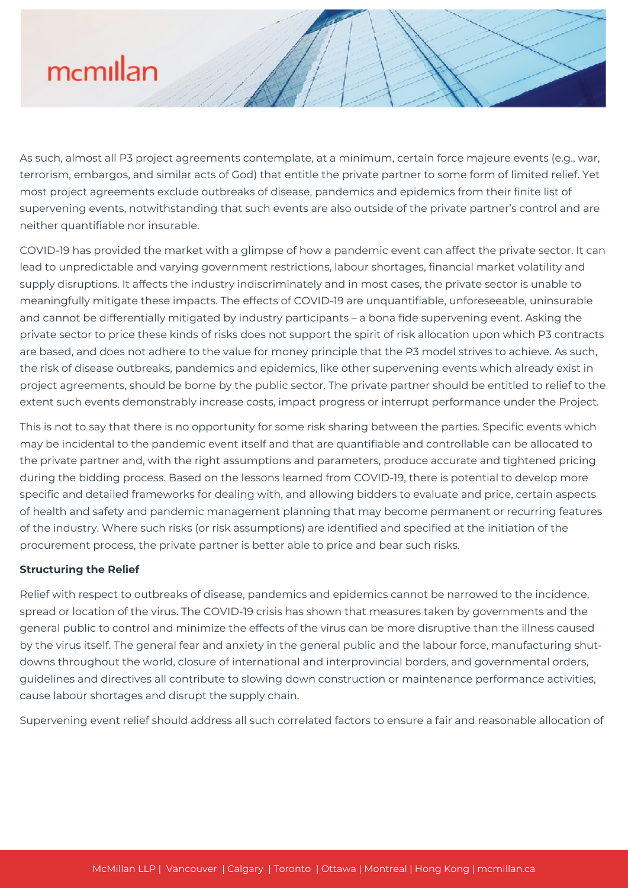## mcmillan

As such, almost all P3 project agreements contemplate, at a minimum, certain force majeure events (e.g., war, terrorism, embargos, and similar acts of God) that entitle the private partner to some form of limited relief. Yet most project agreements exclude outbreaks of disease, pandemics and epidemics from their finite list of supervening events, notwithstanding that such events are also outside of the private partner's control and are neither quantifiable nor insurable.

COVID-19 has provided the market with a glimpse of how a pandemic event can affect the private sector. It can lead to unpredictable and varying government restrictions, labour shortages, financial market volatility and supply disruptions. It affects the industry indiscriminately and in most cases, the private sector is unable to meaningfully mitigate these impacts. The effects of COVID-19 are unquantifiable, unforeseeable, uninsurable and cannot be differentially mitigated by industry participants – a bona fide supervening event. Asking the private sector to price these kinds of risks does not support the spirit of risk allocation upon which P3 contracts are based, and does not adhere to the value for money principle that the P3 model strives to achieve. As such, the risk of disease outbreaks, pandemics and epidemics, like other supervening events which already exist in project agreements, should be borne by the public sector. The private partner should be entitled to relief to the extent such events demonstrably increase costs, impact progress or interrupt performance under the Project.

This is not to say that there is no opportunity for some risk sharing between the parties. Specific events which may be incidental to the pandemic event itself and that are quantifiable and controllable can be allocated to the private partner and, with the right assumptions and parameters, produce accurate and tightened pricing during the bidding process. Based on the lessons learned from COVID-19, there is potential to develop more specific and detailed frameworks for dealing with, and allowing bidders to evaluate and price, certain aspects of health and safety and pandemic management planning that may become permanent or recurring features of the industry. Where such risks (or risk assumptions) are identified and specified at the initiation of the procurement process, the private partner is better able to price and bear such risks.

#### **Structuring the Relief**

Relief with respect to outbreaks of disease, pandemics and epidemics cannot be narrowed to the incidence, spread or location of the virus. The COVID-19 crisis has shown that measures taken by governments and the general public to control and minimize the effects of the virus can be more disruptive than the illness caused by the virus itself. The general fear and anxiety in the general public and the labour force, manufacturing shutdowns throughout the world, closure of international and interprovincial borders, and governmental orders, guidelines and directives all contribute to slowing down construction or maintenance performance activities, cause labour shortages and disrupt the supply chain.

Supervening event relief should address all such correlated factors to ensure a fair and reasonable allocation of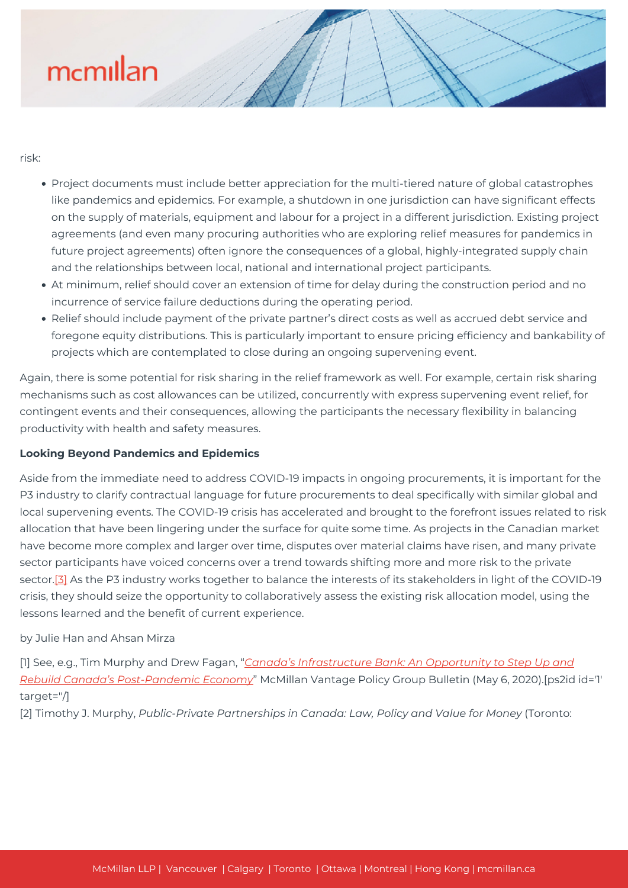# mcmillan

risk:

- Project documents must include better appreciation for the multi-tiered nature of global catastrophes like pandemics and epidemics. For example, a shutdown in one jurisdiction can have significant effects on the supply of materials, equipment and labour for a project in a different jurisdiction. Existing project agreements (and even many procuring authorities who are exploring relief measures for pandemics in future project agreements) often ignore the consequences of a global, highly-integrated supply chain and the relationships between local, national and international project participants.
- At minimum, relief should cover an extension of time for delay during the construction period and no incurrence of service failure deductions during the operating period.
- Relief should include payment of the private partner's direct costs as well as accrued debt service and foregone equity distributions. This is particularly important to ensure pricing efficiency and bankability of projects which are contemplated to close during an ongoing supervening event.

Again, there is some potential for risk sharing in the relief framework as well. For example, certain risk sharing mechanisms such as cost allowances can be utilized, concurrently with express supervening event relief, for contingent events and their consequences, allowing the participants the necessary flexibility in balancing productivity with health and safety measures.

### **Looking Beyond Pandemics and Epidemics**

Aside from the immediate need to address COVID-19 impacts in ongoing procurements, it is important for the P3 industry to clarify contractual language for future procurements to deal specifically with similar global and local supervening events. The COVID-19 crisis has accelerated and brought to the forefront issues related to risk allocation that have been lingering under the surface for quite some time. As projects in the Canadian market have become more complex and larger over time, disputes over material claims have risen, and many private sector participants have voiced concerns over a trend towards shifting more and more risk to the private sector.<sup>[3]</sup> As the P3 industry works together to balance the interests of its stakeholders in light of the COVID-19 crisis, they should seize the opportunity to collaboratively assess the existing risk allocation model, using the lessons learned and the benefit of current experience.

### by Julie Han and Ahsan Mirza

[1] See, e.g., Tim Murphy and Drew Fagan, "*[Canada's Infrastructure Bank: An Opportunity to Step Up and](http://mcmillanvantage.com/wp-content/uploads/2020/05/McMillan-Vantage-Canada-Infrastructure-Bank-Rebuilding-Canadas-Economy-Post-Pandemic-final.pdf) [Rebuild Canada's Post-Pandemic Economy](http://mcmillanvantage.com/wp-content/uploads/2020/05/McMillan-Vantage-Canada-Infrastructure-Bank-Rebuilding-Canadas-Economy-Post-Pandemic-final.pdf)*" McMillan Vantage Policy Group Bulletin (May 6, 2020).[ps2id id='1' target=''/]

[2] Timothy J. Murphy, *Public-Private Partnerships in Canada: Law, Policy and Value for Money* (Toronto: